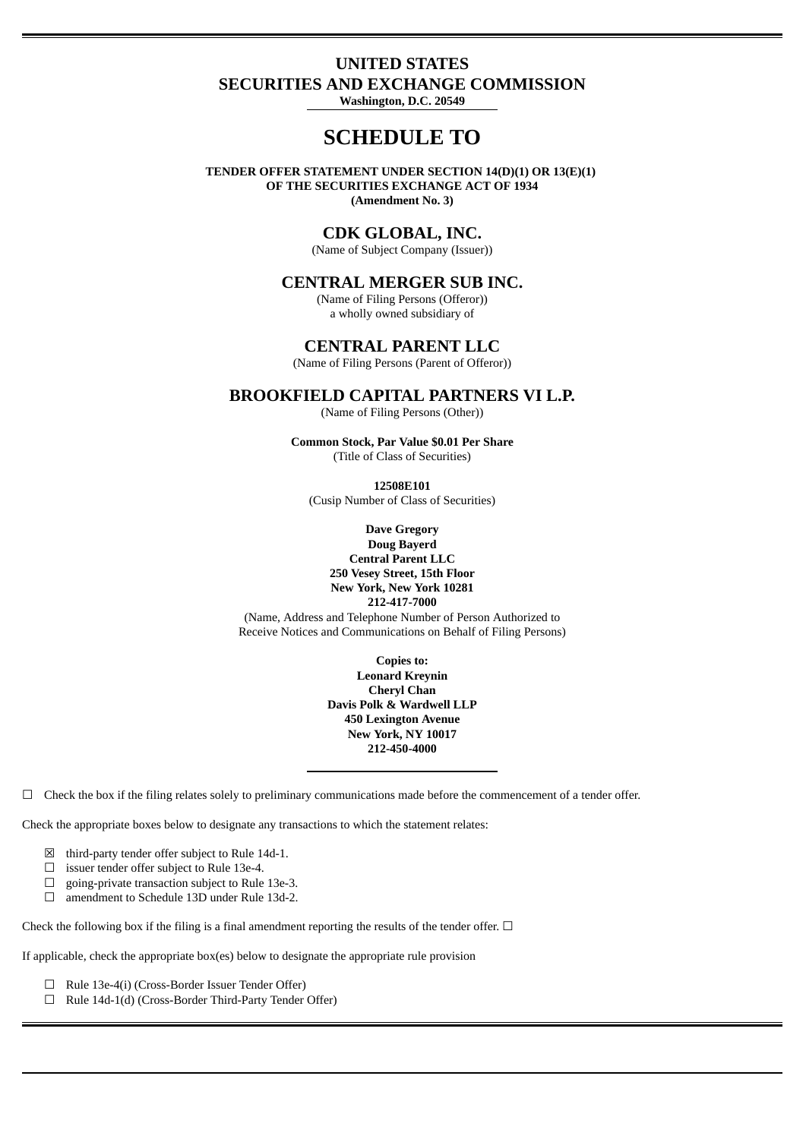# **UNITED STATES SECURITIES AND EXCHANGE COMMISSION**

**Washington, D.C. 20549**

# **SCHEDULE TO**

**TENDER OFFER STATEMENT UNDER SECTION 14(D)(1) OR 13(E)(1) OF THE SECURITIES EXCHANGE ACT OF 1934 (Amendment No. 3)**

# **CDK GLOBAL, INC.**

(Name of Subject Company (Issuer))

### **CENTRAL MERGER SUB INC.**

(Name of Filing Persons (Offeror)) a wholly owned subsidiary of

### **CENTRAL PARENT LLC**

(Name of Filing Persons (Parent of Offeror))

## **BROOKFIELD CAPITAL PARTNERS VI L.P.**

(Name of Filing Persons (Other))

**Common Stock, Par Value \$0.01 Per Share** (Title of Class of Securities)

**12508E101** (Cusip Number of Class of Securities)

**Dave Gregory Doug Bayerd Central Parent LLC 250 Vesey Street, 15th Floor New York, New York 10281 212-417-7000** (Name, Address and Telephone Number of Person Authorized to Receive Notices and Communications on Behalf of Filing Persons)

> **Copies to: Leonard Kreynin Cheryl Chan Davis Polk & Wardwell LLP 450 Lexington Avenue New York, NY 10017 212-450-4000**

 $\Box$  Check the box if the filing relates solely to preliminary communications made before the commencement of a tender offer.

Check the appropriate boxes below to designate any transactions to which the statement relates:

- $\boxtimes$  third-party tender offer subject to Rule 14d-1.
- ☐ issuer tender offer subject to Rule 13e-4.
- ☐ going-private transaction subject to Rule 13e-3.
- ☐ amendment to Schedule 13D under Rule 13d-2.

Check the following box if the filing is a final amendment reporting the results of the tender offer.  $\Box$ 

If applicable, check the appropriate box(es) below to designate the appropriate rule provision

- ☐ Rule 13e-4(i) (Cross-Border Issuer Tender Offer)
- ☐ Rule 14d-1(d) (Cross-Border Third-Party Tender Offer)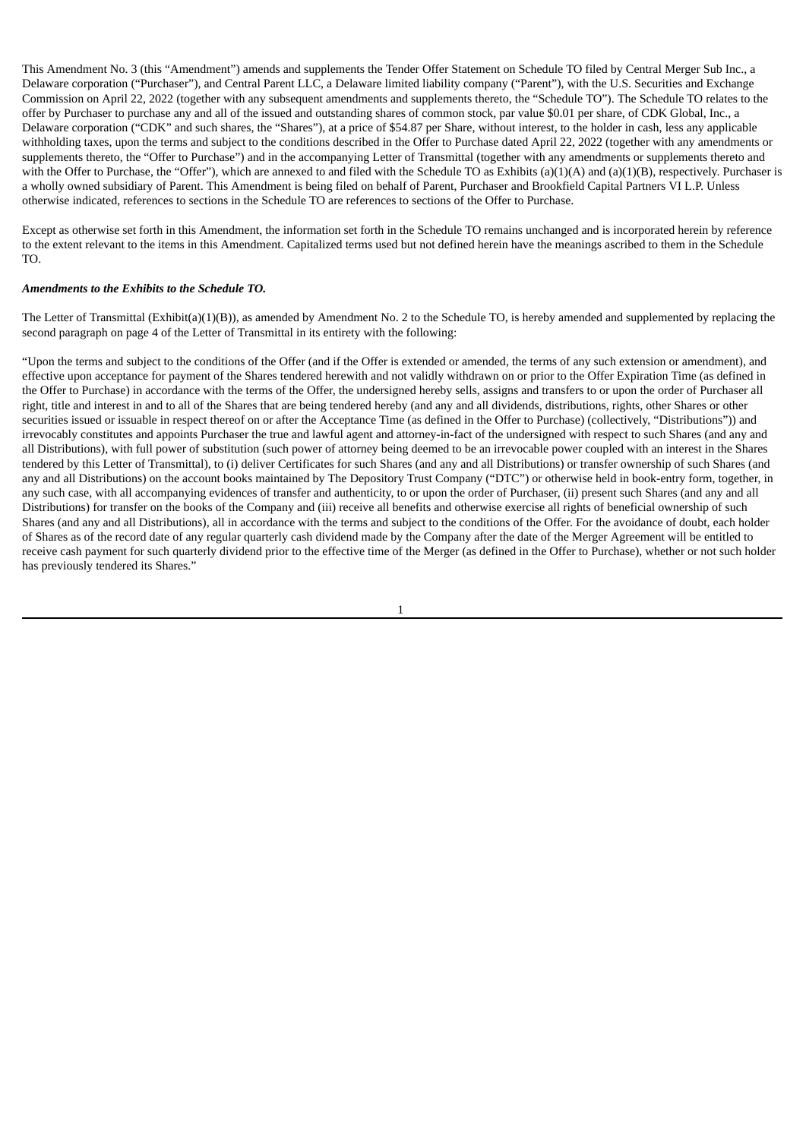This Amendment No. 3 (this "Amendment") amends and supplements the Tender Offer Statement on Schedule TO filed by Central Merger Sub Inc., a Delaware corporation ("Purchaser"), and Central Parent LLC, a Delaware limited liability company ("Parent"), with the U.S. Securities and Exchange Commission on April 22, 2022 (together with any subsequent amendments and supplements thereto, the "Schedule TO"). The Schedule TO relates to the offer by Purchaser to purchase any and all of the issued and outstanding shares of common stock, par value \$0.01 per share, of CDK Global, Inc., a Delaware corporation ("CDK" and such shares, the "Shares"), at a price of \$54.87 per Share, without interest, to the holder in cash, less any applicable withholding taxes, upon the terms and subject to the conditions described in the Offer to Purchase dated April 22, 2022 (together with any amendments or supplements thereto, the "Offer to Purchase") and in the accompanying Letter of Transmittal (together with any amendments or supplements thereto and with the Offer to Purchase, the "Offer"), which are annexed to and filed with the Schedule TO as Exhibits (a)(1)(A) and (a)(1)(B), respectively. Purchaser is a wholly owned subsidiary of Parent. This Amendment is being filed on behalf of Parent, Purchaser and Brookfield Capital Partners VI L.P. Unless otherwise indicated, references to sections in the Schedule TO are references to sections of the Offer to Purchase.

Except as otherwise set forth in this Amendment, the information set forth in the Schedule TO remains unchanged and is incorporated herein by reference to the extent relevant to the items in this Amendment. Capitalized terms used but not defined herein have the meanings ascribed to them in the Schedule TO.

#### *Amendments to the Exhibits to the Schedule TO.*

The Letter of Transmittal (Exhibit(a)(1)(B)), as amended by Amendment No. 2 to the Schedule TO, is hereby amended and supplemented by replacing the second paragraph on page 4 of the Letter of Transmittal in its entirety with the following:

"Upon the terms and subject to the conditions of the Offer (and if the Offer is extended or amended, the terms of any such extension or amendment), and effective upon acceptance for payment of the Shares tendered herewith and not validly withdrawn on or prior to the Offer Expiration Time (as defined in the Offer to Purchase) in accordance with the terms of the Offer, the undersigned hereby sells, assigns and transfers to or upon the order of Purchaser all right, title and interest in and to all of the Shares that are being tendered hereby (and any and all dividends, distributions, rights, other Shares or other securities issued or issuable in respect thereof on or after the Acceptance Time (as defined in the Offer to Purchase) (collectively, "Distributions")) and irrevocably constitutes and appoints Purchaser the true and lawful agent and attorney-in-fact of the undersigned with respect to such Shares (and any and all Distributions), with full power of substitution (such power of attorney being deemed to be an irrevocable power coupled with an interest in the Shares tendered by this Letter of Transmittal), to (i) deliver Certificates for such Shares (and any and all Distributions) or transfer ownership of such Shares (and any and all Distributions) on the account books maintained by The Depository Trust Company ("DTC") or otherwise held in book-entry form, together, in any such case, with all accompanying evidences of transfer and authenticity, to or upon the order of Purchaser, (ii) present such Shares (and any and all Distributions) for transfer on the books of the Company and (iii) receive all benefits and otherwise exercise all rights of beneficial ownership of such Shares (and any and all Distributions), all in accordance with the terms and subject to the conditions of the Offer. For the avoidance of doubt, each holder of Shares as of the record date of any regular quarterly cash dividend made by the Company after the date of the Merger Agreement will be entitled to receive cash payment for such quarterly dividend prior to the effective time of the Merger (as defined in the Offer to Purchase), whether or not such holder has previously tendered its Shares."

1